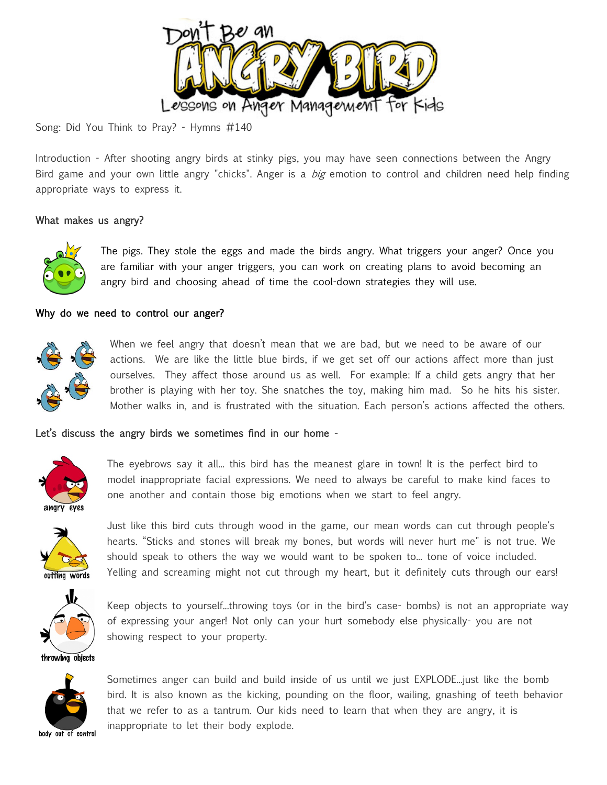

Song: Did You Think to Pray? - Hymns #140

Introduction - After shooting angry birds at stinky pigs, you may have seen connections between the Angry Bird game and your own little angry "chicks". Anger is a big emotion to control and children need help finding appropriate ways to express it.

# What makes us angry?



The pigs. They stole the eggs and made the birds angry. What triggers your anger? Once you are familiar with your anger triggers, you can work on creating plans to avoid becoming an angry bird and choosing ahead of time the cool-down strategies they will use.

## Why do we need to control our anger?



When we feel angry that doesn't mean that we are bad, but we need to be aware of our actions. We are like the little blue birds, if we get set off our actions affect more than just ourselves. They affect those around us as well. For example: If a child gets angry that her brother is playing with her toy. She snatches the toy, making him mad. So he hits his sister. Mother walks in, and is frustrated with the situation. Each person's actions affected the others.

## Let's discuss the angry birds we sometimes find in our home -



The eyebrows say it all... this bird has the meanest glare in town! It is the perfect bird to model inappropriate facial expressions. We need to always be careful to make kind faces to one another and contain those big emotions when we start to feel angry.



Just like this bird cuts through wood in the game, our mean words can cut through people's hearts. "Sticks and stones will break my bones, but words will never hurt me" is not true. We should speak to others the way we would want to be spoken to... tone of voice included. Yelling and screaming might not cut through my heart, but it definitely cuts through our ears!



Keep objects to yourself...throwing toys (or in the bird's case- bombs) is not an appropriate way of expressing your anger! Not only can your hurt somebody else physically- you are not showing respect to your property.



Sometimes anger can build and build inside of us until we just EXPLODE...just like the bomb bird. It is also known as the kicking, pounding on the floor, wailing, gnashing of teeth behavior that we refer to as a tantrum. Our kids need to learn that when they are angry, it is inappropriate to let their body explode.